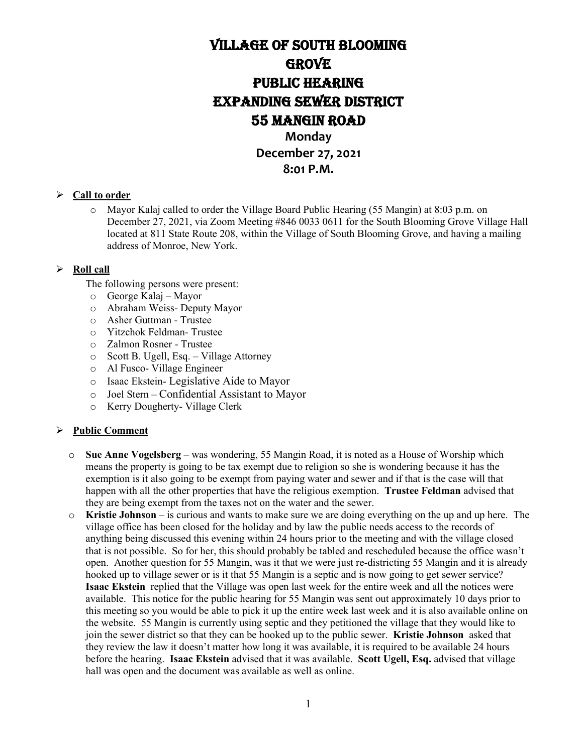# Village of South Blooming **GROVE** PUBLIC HEARING EXPANDING SEWER DISTRICT 55 MANGIN rOAD **Monday December 27, 2021**

### **8:01 P.M.**

#### **Call to order**

o Mayor Kalaj called to order the Village Board Public Hearing (55 Mangin) at 8:03 p.m. on December 27, 2021, via Zoom Meeting #846 0033 0611 for the South Blooming Grove Village Hall located at 811 State Route 208, within the Village of South Blooming Grove, and having a mailing address of Monroe, New York.

#### **Roll call**

The following persons were present:

- o George Kalaj Mayor
- o Abraham Weiss- Deputy Mayor
- o Asher Guttman Trustee
- o Yitzchok Feldman- Trustee
- o Zalmon Rosner Trustee
- Scott B. Ugell, Esq. Village Attorney
- o Al Fusco- Village Engineer
- o Isaac Ekstein- Legislative Aide to Mayor
- o Joel Stern Confidential Assistant to Mayor
- o Kerry Dougherty- Village Clerk

### **Public Comment**

- o **Sue Anne Vogelsberg**  was wondering, 55 Mangin Road, it is noted as a House of Worship which means the property is going to be tax exempt due to religion so she is wondering because it has the exemption is it also going to be exempt from paying water and sewer and if that is the case will that happen with all the other properties that have the religious exemption. **Trustee Feldman** advised that they are being exempt from the taxes not on the water and the sewer.
- o **Kristie Johnson** is curious and wants to make sure we are doing everything on the up and up here. The village office has been closed for the holiday and by law the public needs access to the records of anything being discussed this evening within 24 hours prior to the meeting and with the village closed that is not possible. So for her, this should probably be tabled and rescheduled because the office wasn't open. Another question for 55 Mangin, was it that we were just re-districting 55 Mangin and it is already hooked up to village sewer or is it that 55 Mangin is a septic and is now going to get sewer service? **Isaac Ekstein** replied that the Village was open last week for the entire week and all the notices were available. This notice for the public hearing for 55 Mangin was sent out approximately 10 days prior to this meeting so you would be able to pick it up the entire week last week and it is also available online on the website. 55 Mangin is currently using septic and they petitioned the village that they would like to join the sewer district so that they can be hooked up to the public sewer. **Kristie Johnson** asked that they review the law it doesn't matter how long it was available, it is required to be available 24 hours before the hearing. **Isaac Ekstein** advised that it was available. **Scott Ugell, Esq.** advised that village hall was open and the document was available as well as online.